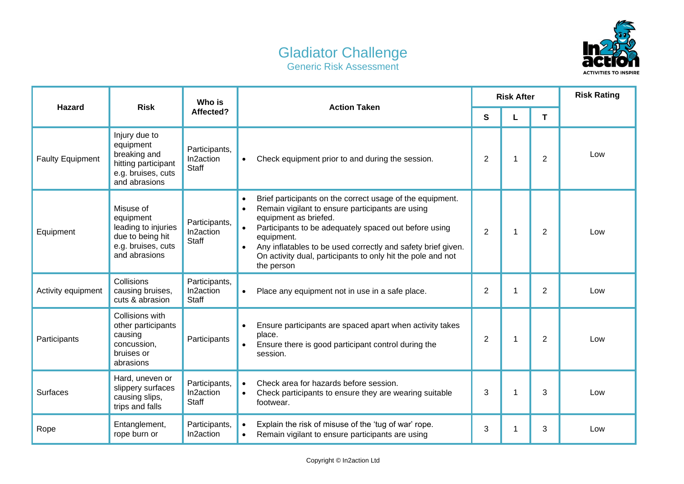## Gladiator Challenge Generic Risk Assessment



| <b>Hazard</b>           | <b>Risk</b>                                                                                              | Who is<br>Affected?                        | <b>Action Taken</b>                                                                                                                                                                                                                                                                                                                                                                               | <b>Risk After</b> |   |                | <b>Risk Rating</b> |
|-------------------------|----------------------------------------------------------------------------------------------------------|--------------------------------------------|---------------------------------------------------------------------------------------------------------------------------------------------------------------------------------------------------------------------------------------------------------------------------------------------------------------------------------------------------------------------------------------------------|-------------------|---|----------------|--------------------|
|                         |                                                                                                          |                                            |                                                                                                                                                                                                                                                                                                                                                                                                   | S                 |   | T              |                    |
| <b>Faulty Equipment</b> | Injury due to<br>equipment<br>breaking and<br>hitting participant<br>e.g. bruises, cuts<br>and abrasions | Participants,<br>In2action<br><b>Staff</b> | Check equipment prior to and during the session.<br>$\bullet$                                                                                                                                                                                                                                                                                                                                     | $\overline{2}$    | 1 | $\overline{2}$ | Low                |
| Equipment               | Misuse of<br>equipment<br>leading to injuries<br>due to being hit<br>e.g. bruises, cuts<br>and abrasions | Participants,<br>In2action<br><b>Staff</b> | Brief participants on the correct usage of the equipment.<br>Remain vigilant to ensure participants are using<br>$\bullet$<br>equipment as briefed.<br>Participants to be adequately spaced out before using<br>$\bullet$<br>equipment.<br>Any inflatables to be used correctly and safety brief given.<br>$\bullet$<br>On activity dual, participants to only hit the pole and not<br>the person | $\overline{2}$    | 1 | 2              | Low                |
| Activity equipment      | Collisions<br>causing bruises,<br>cuts & abrasion                                                        | Participants,<br>In2action<br><b>Staff</b> | Place any equipment not in use in a safe place.<br>$\bullet$                                                                                                                                                                                                                                                                                                                                      | $\overline{2}$    | 1 | 2              | Low                |
| Participants            | Collisions with<br>other participants<br>causing<br>concussion,<br>bruises or<br>abrasions               | Participants                               | Ensure participants are spaced apart when activity takes<br>place.<br>Ensure there is good participant control during the<br>$\bullet$<br>session.                                                                                                                                                                                                                                                | $\overline{2}$    | 1 | 2              | Low                |
| <b>Surfaces</b>         | Hard, uneven or<br>slippery surfaces<br>causing slips,<br>trips and falls                                | Participants,<br>In2action<br><b>Staff</b> | Check area for hazards before session.<br>$\bullet$<br>Check participants to ensure they are wearing suitable<br>$\bullet$<br>footwear.                                                                                                                                                                                                                                                           | 3                 | 1 | 3              | Low                |
| Rope                    | Entanglement,<br>rope burn or                                                                            | Participants,<br>In2action                 | Explain the risk of misuse of the 'tug of war' rope.<br>$\bullet$<br>Remain vigilant to ensure participants are using<br>$\bullet$                                                                                                                                                                                                                                                                | 3                 |   | 3              | Low                |